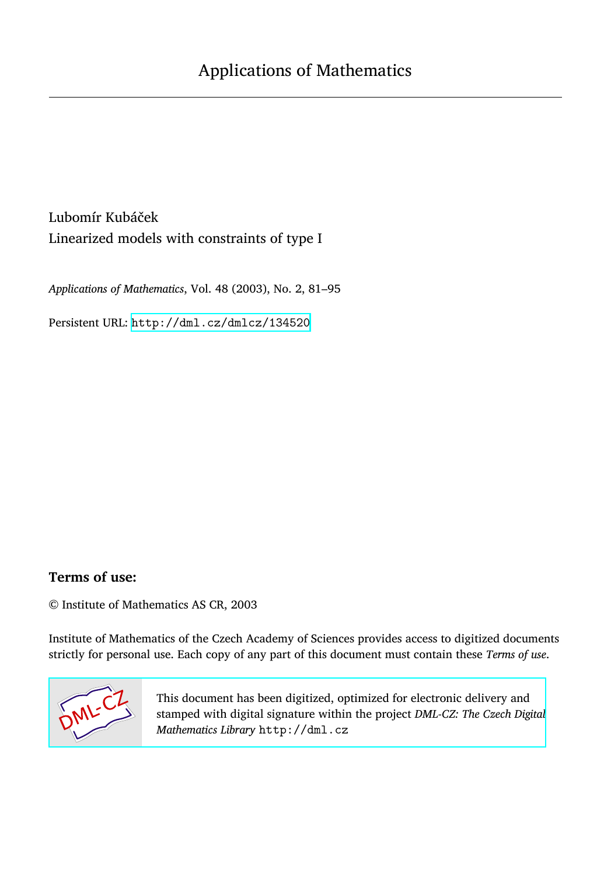Lubomír Kubáček Linearized models with constraints of type I

*Applications of Mathematics*, Vol. 48 (2003), No. 2, 81–95

Persistent URL: <http://dml.cz/dmlcz/134520>

# **Terms of use:**

© Institute of Mathematics AS CR, 2003

Institute of Mathematics of the Czech Academy of Sciences provides access to digitized documents strictly for personal use. Each copy of any part of this document must contain these *Terms of use*.



[This document has been digitized, optimized for electronic delivery and](http://dml.cz) stamped with digital signature within the project *DML-CZ: The Czech Digital Mathematics Library* http://dml.cz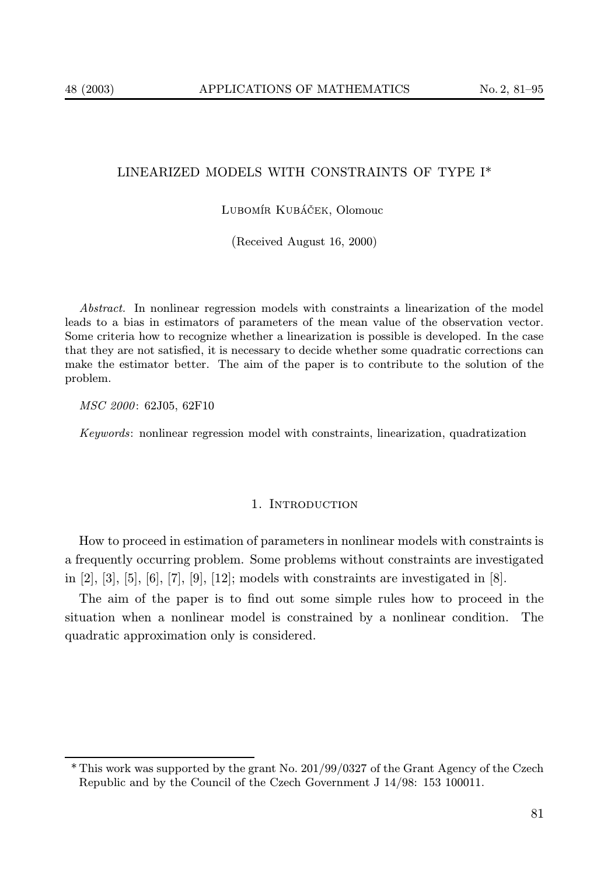## LINEARIZED MODELS WITH CONSTRAINTS OF TYPE I\*

### Lubomír Kubáček, Olomouc

(Received August 16, 2000)

Abstract. In nonlinear regression models with constraints a linearization of the model leads to a bias in estimators of parameters of the mean value of the observation vector. Some criteria how to recognize whether a linearization is possible is developed. In the case that they are not satisfied, it is necessary to decide whether some quadratic corrections can make the estimator better. The aim of the paper is to contribute to the solution of the problem.

MSC 2000: 62J05, 62F10

Keywords: nonlinear regression model with constraints, linearization, quadratization

#### 1. INTRODUCTION

How to proceed in estimation of parameters in nonlinear models with constraints is a frequently occurring problem. Some problems without constraints are investigated in [2], [3], [5], [6], [7], [9], [12]; models with constraints are investigated in [8].

The aim of the paper is to find out some simple rules how to proceed in the situation when a nonlinear model is constrained by a nonlinear condition. The quadratic approximation only is considered.

<sup>\*</sup> This work was supported by the grant No. 201/99/0327 of the Grant Agency of the Czech Republic and by the Council of the Czech Government J 14/98: 153 100011.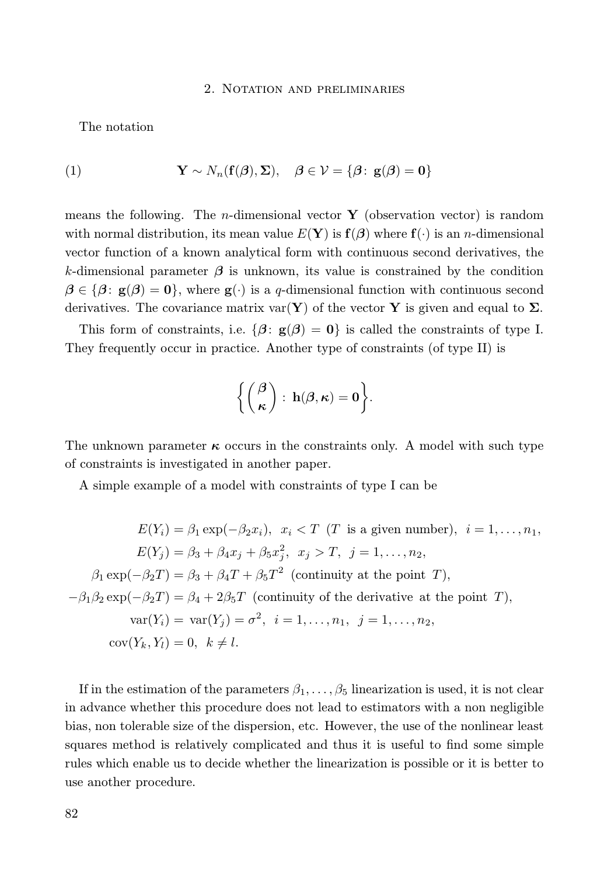### 2. Notation and preliminaries

The notation

(1) 
$$
\mathbf{Y} \sim N_n(\mathbf{f}(\boldsymbol{\beta}), \boldsymbol{\Sigma}), \quad \boldsymbol{\beta} \in \mathcal{V} = \{\boldsymbol{\beta} : \mathbf{g}(\boldsymbol{\beta}) = \mathbf{0}\}
$$

means the following. The *n*-dimensional vector  $\bf{Y}$  (observation vector) is random with normal distribution, its mean value  $E(Y)$  is  $f(\beta)$  where  $f(\cdot)$  is an *n*-dimensional vector function of a known analytical form with continuous second derivatives, the k-dimensional parameter  $\beta$  is unknown, its value is constrained by the condition  $\beta \in {\beta : \mathbf{g}(\beta) = \mathbf{0}}$ , where  $\mathbf{g}(\cdot)$  is a q-dimensional function with continuous second derivatives. The covariance matrix  $var(Y)$  of the vector Y is given and equal to  $\Sigma$ .

This form of constraints, i.e.  $\{\beta: \mathbf{g}(\beta) = 0\}$  is called the constraints of type I. They frequently occur in practice. Another type of constraints (of type II) is

$$
\biggl\{\binom{\boldsymbol{\beta}}{\boldsymbol{\kappa}}:\,\mathbf{h}(\boldsymbol{\beta},\boldsymbol{\kappa})=\mathbf{0}\biggr\}.
$$

The unknown parameter  $\kappa$  occurs in the constraints only. A model with such type of constraints is investigated in another paper.

A simple example of a model with constraints of type I can be

$$
E(Y_i) = \beta_1 \exp(-\beta_2 x_i), \quad x_i < T \quad (T \text{ is a given number}), \quad i = 1, \dots, n_1,
$$
\n
$$
E(Y_j) = \beta_3 + \beta_4 x_j + \beta_5 x_j^2, \quad x_j > T, \quad j = 1, \dots, n_2,
$$
\n
$$
\beta_1 \exp(-\beta_2 T) = \beta_3 + \beta_4 T + \beta_5 T^2 \quad \text{(continuity at the point } T),
$$
\n
$$
-\beta_1 \beta_2 \exp(-\beta_2 T) = \beta_4 + 2\beta_5 T \quad \text{(continuity of the derivative at the point } T),
$$
\n
$$
\text{var}(Y_i) = \text{var}(Y_j) = \sigma^2, \quad i = 1, \dots, n_1, \quad j = 1, \dots, n_2,
$$
\n
$$
\text{cov}(Y_k, Y_l) = 0, \quad k \neq l.
$$

If in the estimation of the parameters  $\beta_1, \ldots, \beta_5$  linearization is used, it is not clear in advance whether this procedure does not lead to estimators with a non negligible bias, non tolerable size of the dispersion, etc. However, the use of the nonlinear least squares method is relatively complicated and thus it is useful to find some simple rules which enable us to decide whether the linearization is possible or it is better to use another procedure.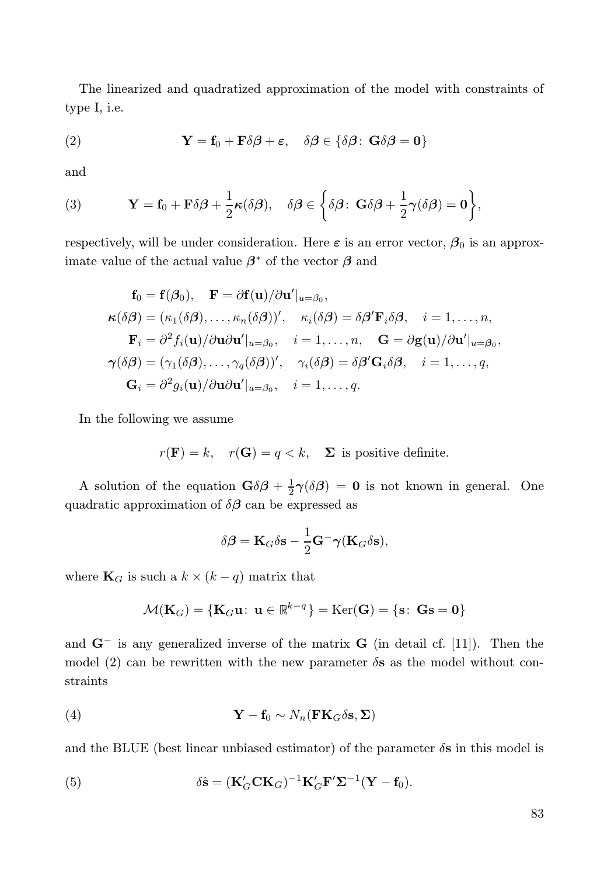The linearized and quadratized approximation of the model with constraints of type I, i.e.

(2) 
$$
\mathbf{Y} = \mathbf{f}_0 + \mathbf{F}\delta\boldsymbol{\beta} + \boldsymbol{\varepsilon}, \quad \delta\boldsymbol{\beta} \in \{\delta\boldsymbol{\beta}: \mathbf{G}\delta\boldsymbol{\beta} = \mathbf{0}\}
$$

and

(3) 
$$
\mathbf{Y} = \mathbf{f}_0 + \mathbf{F}\delta\boldsymbol{\beta} + \frac{1}{2}\boldsymbol{\kappa}(\delta\boldsymbol{\beta}), \quad \delta\boldsymbol{\beta} \in \left\{\delta\boldsymbol{\beta}: \ \mathbf{G}\delta\boldsymbol{\beta} + \frac{1}{2}\boldsymbol{\gamma}(\delta\boldsymbol{\beta}) = \mathbf{0}\right\},
$$

respectively, will be under consideration. Here  $\varepsilon$  is an error vector,  $\beta_0$  is an approximate value of the actual value  $\beta^*$  of the vector  $\beta$  and

$$
\mathbf{f}_0 = \mathbf{f}(\beta_0), \quad \mathbf{F} = \partial \mathbf{f}(\mathbf{u})/\partial \mathbf{u}'|_{u=\beta_0},
$$
\n
$$
\kappa(\delta \beta) = (\kappa_1(\delta \beta), \dots, \kappa_n(\delta \beta))', \quad \kappa_i(\delta \beta) = \delta \beta' \mathbf{F}_i \delta \beta, \quad i = 1, \dots, n,
$$
\n
$$
\mathbf{F}_i = \partial^2 f_i(\mathbf{u})/\partial \mathbf{u} \partial \mathbf{u}'|_{u=\beta_0}, \quad i = 1, \dots, n, \quad \mathbf{G} = \partial \mathbf{g}(\mathbf{u})/\partial \mathbf{u}'|_{u=\beta_0},
$$
\n
$$
\gamma(\delta \beta) = (\gamma_1(\delta \beta), \dots, \gamma_q(\delta \beta))', \quad \gamma_i(\delta \beta) = \delta \beta' \mathbf{G}_i \delta \beta, \quad i = 1, \dots, q,
$$
\n
$$
\mathbf{G}_i = \partial^2 g_i(\mathbf{u})/\partial \mathbf{u} \partial \mathbf{u}'|_{u=\beta_0}, \quad i = 1, \dots, q.
$$

In the following we assume

$$
r(\mathbf{F}) = k
$$
,  $r(\mathbf{G}) = q < k$ ,  $\Sigma$  is positive definite.

A solution of the equation  $\mathbf{G}\delta\boldsymbol{\beta} + \frac{1}{2}\boldsymbol{\gamma}(\delta\boldsymbol{\beta}) = \mathbf{0}$  is not known in general. One quadratic approximation of  $\delta\beta$  can be expressed as

$$
\delta \boldsymbol{\beta} = \mathbf{K}_G \delta \mathbf{s} - \frac{1}{2} \mathbf{G}^- \boldsymbol{\gamma} (\mathbf{K}_G \delta \mathbf{s}),
$$

where  $\mathbf{K}_G$  is such a  $k \times (k - q)$  matrix that

$$
\mathcal{M}(\mathbf{K}_G) = \{ \mathbf{K}_G \mathbf{u} : \ \mathbf{u} \in \mathbb{R}^{k-q} \} = \text{Ker}(\mathbf{G}) = \{ \mathbf{s} : \ \mathbf{G}\mathbf{s} = \mathbf{0} \}
$$

and  $G^-$  is any generalized inverse of the matrix G (in detail cf. [11]). Then the model (2) can be rewritten with the new parameter  $\delta s$  as the model without constraints

(4) 
$$
\mathbf{Y} - \mathbf{f}_0 \sim N_n(\mathbf{F} \mathbf{K}_G \delta \mathbf{s}, \mathbf{\Sigma})
$$

and the BLUE (best linear unbiased estimator) of the parameter  $\delta s$  in this model is

(5) 
$$
\delta \hat{\mathbf{s}} = (\mathbf{K}_G' \mathbf{C} \mathbf{K}_G)^{-1} \mathbf{K}_G' \mathbf{F}' \mathbf{\Sigma}^{-1} (\mathbf{Y} - \mathbf{f}_0).
$$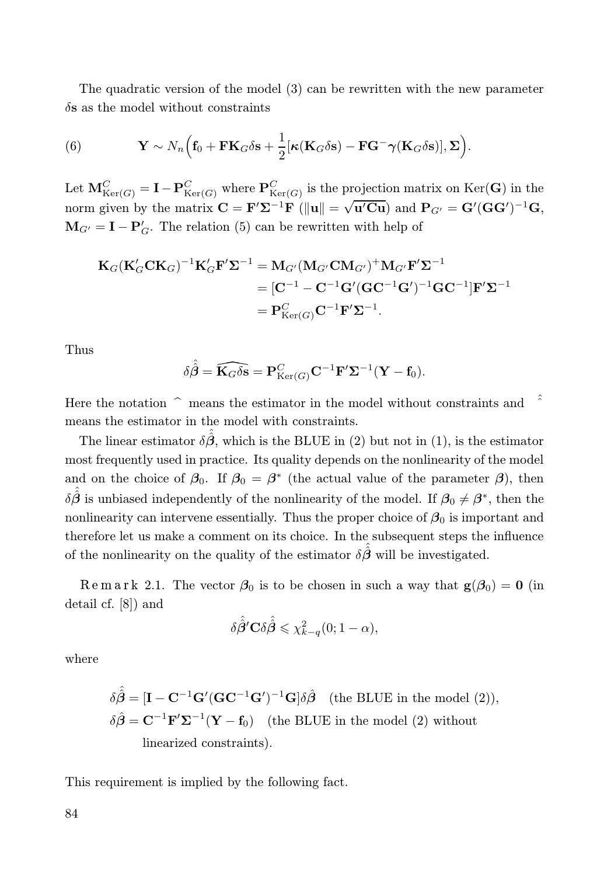The quadratic version of the model (3) can be rewritten with the new parameter  $\delta$ s as the model without constraints

(6) 
$$
\mathbf{Y} \sim N_n \Big( \mathbf{f}_0 + \mathbf{F} \mathbf{K}_G \delta \mathbf{s} + \frac{1}{2} [\kappa (\mathbf{K}_G \delta \mathbf{s}) - \mathbf{F} \mathbf{G}^- \boldsymbol{\gamma} (\mathbf{K}_G \delta \mathbf{s})], \boldsymbol{\Sigma} \Big).
$$

Let  $M_{\text{Ker}(G)}^C = I - P_{\text{Ker}(G)}^C$  where  $P_{\text{Ker}(G)}^C$  is the projection matrix on  $\text{Ker}(\mathbf{G})$  in the norm given by the matrix  $\mathbf{C} = \mathbf{F}' \Sigma^{-1} \mathbf{F}$  ( $\|\mathbf{u}\| = \sqrt{\mathbf{u}' \mathbf{C} \mathbf{u}}$ ) and  $\mathbf{P}_{G'} = \mathbf{G}' (\mathbf{G} \mathbf{G}')^{-1} \mathbf{G}$ ,  $\mathbf{M}_{G'} = \mathbf{I} - \mathbf{P}'_G$ . The relation (5) can be rewritten with help of

$$
\mathbf{K}_G(\mathbf{K}_G'\mathbf{C}\mathbf{K}_G)^{-1}\mathbf{K}_G'\mathbf{F}'\mathbf{\Sigma}^{-1} = \mathbf{M}_{G'}(\mathbf{M}_{G'}\mathbf{C}\mathbf{M}_{G'})^+\mathbf{M}_{G'}\mathbf{F}'\mathbf{\Sigma}^{-1}
$$
  
\n
$$
= [\mathbf{C}^{-1} - \mathbf{C}^{-1}\mathbf{G}'(\mathbf{G}\mathbf{C}^{-1}\mathbf{G}')^{-1}\mathbf{G}\mathbf{C}^{-1}]\mathbf{F}'\mathbf{\Sigma}^{-1}
$$
  
\n
$$
= \mathbf{P}_{\text{Ker}(G)}^C\mathbf{C}^{-1}\mathbf{F}'\mathbf{\Sigma}^{-1}.
$$

Thus

$$
\delta\hat{\hat{\boldsymbol{\beta}}}=\widehat{\mathbf{K}_G\delta\mathbf{s}}=\mathbf{P}_{\mathrm{Ker}(G)}^C\mathbf{C}^{-1}\mathbf{F}'\mathbf{\Sigma}^{-1}(\mathbf{Y}-\mathbf{f}_0).
$$

Here the notation  $\hat{\ }$  means the estimator in the model without constraints and means the estimator in the model with constraints.

The linear estimator  $\delta \hat{\beta}$ , which is the BLUE in (2) but not in (1), is the estimator most frequently used in practice. Its quality depends on the nonlinearity of the model and on the choice of  $\beta_0$ . If  $\beta_0 = \beta^*$  (the actual value of the parameter  $\beta$ ), then  $\delta \hat{\hat{\beta}}$  is unbiased independently of the nonlinearity of the model. If  $\beta_0 \neq \beta^*$ , then the nonlinearity can intervene essentially. Thus the proper choice of  $\beta_0$  is important and therefore let us make a comment on its choice. In the subsequent steps the influence of the nonlinearity on the quality of the estimator  $\delta \hat{\beta}$  will be investigated.

Remark 2.1. The vector  $\beta_0$  is to be chosen in such a way that  $g(\beta_0) = 0$  (in detail cf. [8]) and

$$
\delta \hat{\beta}^{\prime} \mathbf{C} \delta \hat{\hat{\beta}} \leqslant \chi^2_{k-q}(0; 1-\alpha),
$$

where

$$
\delta \hat{\beta} = [\mathbf{I} - \mathbf{C}^{-1} \mathbf{G}' (\mathbf{G} \mathbf{C}^{-1} \mathbf{G}')^{-1} \mathbf{G}] \delta \hat{\beta} \quad \text{(the BLUE in the model (2))},
$$
  

$$
\delta \hat{\beta} = \mathbf{C}^{-1} \mathbf{F}' \mathbf{\Sigma}^{-1} (\mathbf{Y} - \mathbf{f}_0) \quad \text{(the BLUE in the model (2) without linearized constraints)}.
$$

This requirement is implied by the following fact.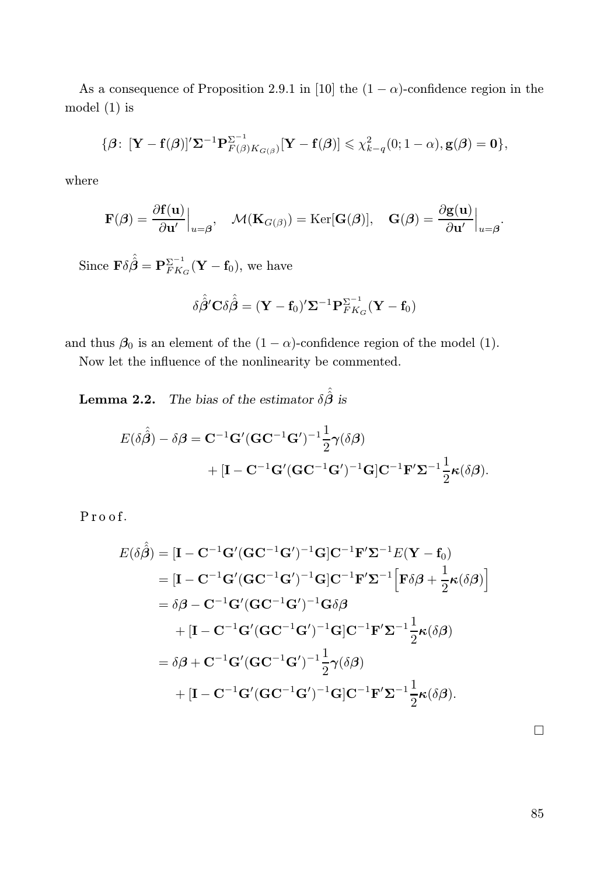As a consequence of Proposition 2.9.1 in [10] the  $(1 - \alpha)$ -confidence region in the model (1) is

$$
\{\boldsymbol{\beta}\colon [\mathbf{Y}-\mathbf{f}(\boldsymbol{\beta})]'\mathbf{\Sigma}^{-1}\mathbf{P}_{F(\boldsymbol{\beta})K_{G(\boldsymbol{\beta})}}^{ \Sigma^{-1}}[\mathbf{Y}-\mathbf{f}(\boldsymbol{\beta})] \leq \chi_{k-q}^2(0;1-\alpha), \mathbf{g}(\boldsymbol{\beta})=\mathbf{0}\},\
$$

where

$$
\mathbf{F}(\boldsymbol{\beta}) = \frac{\partial \mathbf{f}(\mathbf{u})}{\partial \mathbf{u}'} \Big|_{u=\boldsymbol{\beta}}, \quad \mathcal{M}(\mathbf{K}_{G(\boldsymbol{\beta})}) = \text{Ker}[\mathbf{G}(\boldsymbol{\beta})], \quad \mathbf{G}(\boldsymbol{\beta}) = \frac{\partial \mathbf{g}(\mathbf{u})}{\partial \mathbf{u}'} \Big|_{u=\boldsymbol{\beta}}.
$$

 $\text{Since } \mathbf{F} \delta \hat{\hat{\boldsymbol{\beta}}} = \mathbf{P}_{FK.}^{\Sigma^{-1}}$  $\frac{\sum_{F K_G}^{T} (\mathbf{Y} - \mathbf{f}_0)}{F}$ , we have

$$
\delta \hat{\beta}^{\prime} \mathbf{C} \delta \hat{\hat{\beta}} = (\mathbf{Y} - \mathbf{f}_0)^{\prime} \mathbf{\Sigma}^{-1} \mathbf{P}_{FK_G}^{\Sigma^{-1}} (\mathbf{Y} - \mathbf{f}_0)
$$

and thus  $\beta_0$  is an element of the  $(1 - \alpha)$ -confidence region of the model (1).

Now let the influence of the nonlinearity be commented.

**Lemma 2.2.** The bias of the estimator  $\delta \hat{\hat{\beta}}$  is

$$
E(\delta \hat{\hat{\beta}}) - \delta \beta = \mathbf{C}^{-1} \mathbf{G}' (\mathbf{G} \mathbf{C}^{-1} \mathbf{G}')^{-1} \frac{1}{2} \gamma(\delta \beta)
$$
  
+ 
$$
[\mathbf{I} - \mathbf{C}^{-1} \mathbf{G}' (\mathbf{G} \mathbf{C}^{-1} \mathbf{G}')^{-1} \mathbf{G}] \mathbf{C}^{-1} \mathbf{F}' \mathbf{\Sigma}^{-1} \frac{1}{2} \kappa(\delta \beta).
$$

 $P$ roof.

$$
E(\delta \hat{\beta}) = [\mathbf{I} - \mathbf{C}^{-1} \mathbf{G}' (\mathbf{G} \mathbf{C}^{-1} \mathbf{G}')^{-1} \mathbf{G}] \mathbf{C}^{-1} \mathbf{F}' \Sigma^{-1} E(\mathbf{Y} - \mathbf{f}_0)
$$
  
\n
$$
= [\mathbf{I} - \mathbf{C}^{-1} \mathbf{G}' (\mathbf{G} \mathbf{C}^{-1} \mathbf{G}')^{-1} \mathbf{G}] \mathbf{C}^{-1} \mathbf{F}' \Sigma^{-1} \Big[ \mathbf{F} \delta \beta + \frac{1}{2} \kappa (\delta \beta) \Big]
$$
  
\n
$$
= \delta \beta - \mathbf{C}^{-1} \mathbf{G}' (\mathbf{G} \mathbf{C}^{-1} \mathbf{G}')^{-1} \mathbf{G} \delta \beta
$$
  
\n
$$
+ [\mathbf{I} - \mathbf{C}^{-1} \mathbf{G}' (\mathbf{G} \mathbf{C}^{-1} \mathbf{G}')^{-1} \mathbf{G}] \mathbf{C}^{-1} \mathbf{F}' \Sigma^{-1} \frac{1}{2} \kappa (\delta \beta)
$$
  
\n
$$
= \delta \beta + \mathbf{C}^{-1} \mathbf{G}' (\mathbf{G} \mathbf{C}^{-1} \mathbf{G}')^{-1} \frac{1}{2} \gamma (\delta \beta)
$$
  
\n
$$
+ [\mathbf{I} - \mathbf{C}^{-1} \mathbf{G}' (\mathbf{G} \mathbf{C}^{-1} \mathbf{G}')^{-1} \mathbf{G}] \mathbf{C}^{-1} \mathbf{F}' \Sigma^{-1} \frac{1}{2} \kappa (\delta \beta).
$$

 $\Box$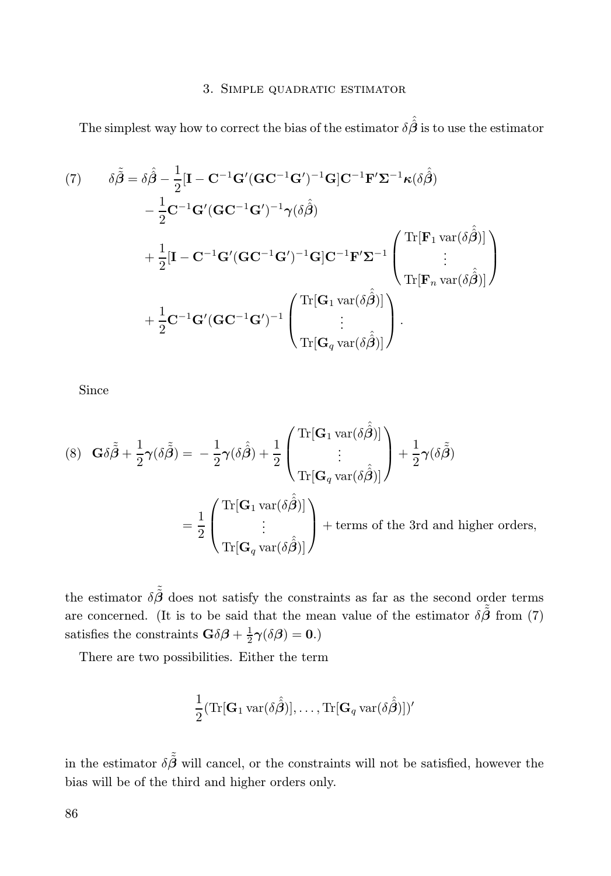### 3. Simple quadratic estimator

The simplest way how to correct the bias of the estimator  $\delta \hat{\hat{\beta}}$  is to use the estimator

(7) 
$$
\delta \tilde{\tilde{\beta}} = \delta \hat{\beta} - \frac{1}{2} [\mathbf{I} - \mathbf{C}^{-1} \mathbf{G}' (\mathbf{G} \mathbf{C}^{-1} \mathbf{G}')^{-1} \mathbf{G}] \mathbf{C}^{-1} \mathbf{F}' \mathbf{\Sigma}^{-1} \kappa (\delta \hat{\beta})
$$

$$
- \frac{1}{2} \mathbf{C}^{-1} \mathbf{G}' (\mathbf{G} \mathbf{C}^{-1} \mathbf{G}')^{-1} \gamma (\delta \hat{\beta})
$$

$$
+ \frac{1}{2} [\mathbf{I} - \mathbf{C}^{-1} \mathbf{G}' (\mathbf{G} \mathbf{C}^{-1} \mathbf{G}')^{-1} \mathbf{G}] \mathbf{C}^{-1} \mathbf{F}' \mathbf{\Sigma}^{-1} \begin{pmatrix} \text{Tr}[\mathbf{F}_1 \text{ var}(\delta \hat{\beta})] \\ \vdots \\ \text{Tr}[\mathbf{F}_n \text{ var}(\delta \hat{\beta})] \end{pmatrix}
$$

$$
+ \frac{1}{2} \mathbf{C}^{-1} \mathbf{G}' (\mathbf{G} \mathbf{C}^{-1} \mathbf{G}')^{-1} \begin{pmatrix} \text{Tr}[\mathbf{G}_1 \text{ var}(\delta \hat{\beta})] \\ \vdots \\ \text{Tr}[\mathbf{G}_q \text{ var}(\delta \hat{\beta})] \end{pmatrix}.
$$

Since

(8) 
$$
\mathbf{G}\delta\tilde{\tilde{\beta}} + \frac{1}{2}\gamma(\delta\tilde{\tilde{\beta}}) = -\frac{1}{2}\gamma(\delta\hat{\beta}) + \frac{1}{2}\left(\begin{aligned} \text{Tr}[\mathbf{G}_1 \text{ var}(\delta\hat{\tilde{\beta}})] \\ \vdots \\ \text{Tr}[\mathbf{G}_q \text{ var}(\delta\hat{\tilde{\beta}})] \end{aligned}\right) + \frac{1}{2}\gamma(\delta\tilde{\tilde{\beta}})
$$

$$
= \frac{1}{2}\left(\begin{aligned} \text{Tr}[\mathbf{G}_1 \text{ var}(\delta\hat{\tilde{\beta}})] \\ \vdots \\ \text{Tr}[\mathbf{G}_q \text{ var}(\delta\hat{\tilde{\beta}})] \end{aligned}\right) + \text{terms of the 3rd and higher orders,}
$$

the estimator  $\delta \tilde{\tilde{\beta}}$  does not satisfy the constraints as far as the second order terms are concerned. (It is to be said that the mean value of the estimator  $\delta \tilde{\beta}$  from (7) satisfies the constraints  $\mathbf{G}\delta\boldsymbol{\beta} + \frac{1}{2}\boldsymbol{\gamma}(\delta\boldsymbol{\beta}) = \mathbf{0}$ .)

There are two possibilities. Either the term

$$
\frac{1}{2}(\mathrm{Tr}[\mathbf{G}_1 \mathrm{var}(\delta \hat{\hat{\boldsymbol{\beta}}})], \dots, \mathrm{Tr}[\mathbf{G}_q \mathrm{var}(\delta \hat{\hat{\boldsymbol{\beta}}})])'
$$

in the estimator  $\delta \tilde{\beta}$  will cancel, or the constraints will not be satisfied, however the bias will be of the third and higher orders only.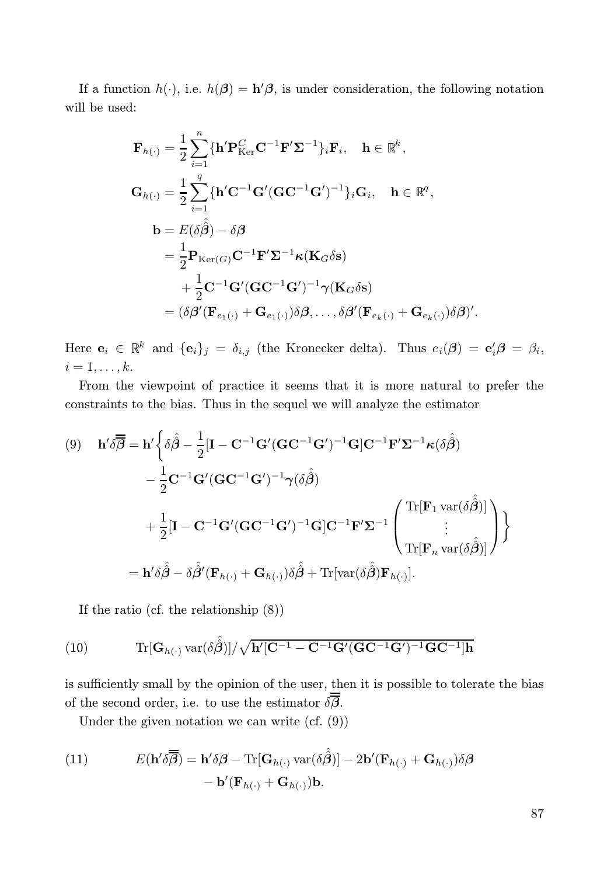If a function  $h(\cdot)$ , i.e.  $h(\beta) = h'(\beta)$ , is under consideration, the following notation will be used:

$$
\mathbf{F}_{h(\cdot)} = \frac{1}{2} \sum_{i=1}^{n} \{ \mathbf{h}' \mathbf{P}_{\text{Ker}}^{C} \mathbf{C}^{-1} \mathbf{F}' \mathbf{\Sigma}^{-1} \}_{i} \mathbf{F}_{i}, \quad \mathbf{h} \in \mathbb{R}^{k},
$$
\n
$$
\mathbf{G}_{h(\cdot)} = \frac{1}{2} \sum_{i=1}^{q} \{ \mathbf{h}' \mathbf{C}^{-1} \mathbf{G}' (\mathbf{G} \mathbf{C}^{-1} \mathbf{G}')^{-1} \}_{i} \mathbf{G}_{i}, \quad \mathbf{h} \in \mathbb{R}^{q},
$$
\n
$$
\mathbf{b} = E(\delta \hat{\beta}) - \delta \beta
$$
\n
$$
= \frac{1}{2} \mathbf{P}_{\text{Ker}(G)} \mathbf{C}^{-1} \mathbf{F}' \mathbf{\Sigma}^{-1} \kappa (\mathbf{K}_{G} \delta \mathbf{s})
$$
\n
$$
+ \frac{1}{2} \mathbf{C}^{-1} \mathbf{G}' (\mathbf{G} \mathbf{C}^{-1} \mathbf{G}')^{-1} \gamma (\mathbf{K}_{G} \delta \mathbf{s})
$$
\n
$$
= (\delta \beta' (\mathbf{F}_{e_{1}(\cdot)} + \mathbf{G}_{e_{1}(\cdot)}) \delta \beta, \dots, \delta \beta' (\mathbf{F}_{e_{k}(\cdot)} + \mathbf{G}_{e_{k}(\cdot)}) \delta \beta)'.
$$

Here  $e_i \in \mathbb{R}^k$  and  $\{e_i\}_j = \delta_{i,j}$  (the Kronecker delta). Thus  $e_i(\beta) = e'_i\beta = \beta_i$ ,  $i=1,\ldots,k.$ 

From the viewpoint of practice it seems that it is more natural to prefer the constraints to the bias. Thus in the sequel we will analyze the estimator

(9) 
$$
\mathbf{h}'\delta\overline{\mathbf{\mathcal{B}}} = \mathbf{h}' \Big\{ \delta\hat{\mathbf{\mathcal{B}}}-\frac{1}{2} [\mathbf{I}-\mathbf{C}^{-1}\mathbf{G}'(\mathbf{G}\mathbf{C}^{-1}\mathbf{G}')^{-1}\mathbf{G}] \mathbf{C}^{-1}\mathbf{F}'\mathbf{\Sigma}^{-1}\kappa(\delta\hat{\mathbf{\mathcal{B}}}) -\frac{1}{2}\mathbf{C}^{-1}\mathbf{G}'(\mathbf{G}\mathbf{C}^{-1}\mathbf{G}')^{-1}\gamma(\delta\hat{\mathbf{\mathcal{B}}}) +\frac{1}{2}[\mathbf{I}-\mathbf{C}^{-1}\mathbf{G}'(\mathbf{G}\mathbf{C}^{-1}\mathbf{G}')^{-1}\mathbf{G}] \mathbf{C}^{-1}\mathbf{F}'\mathbf{\Sigma}^{-1} \begin{pmatrix} \text{Tr}[\mathbf{F}_1 \text{ var}(\delta\hat{\mathbf{\mathcal{B}}})] \\ \vdots \\ \text{Tr}[\mathbf{F}_n \text{ var}(\delta\hat{\mathbf{\mathcal{B}}})] \end{pmatrix} \Big\}
$$
  
=  $\mathbf{h}'\delta\hat{\mathbf{\mathcal{B}}}-\delta\hat{\mathbf{\mathcal{B}}}'(\mathbf{F}_{h(\cdot)}+\mathbf{G}_{h(\cdot)})\delta\hat{\mathbf{\mathcal{B}}}+\text{Tr}[\text{var}(\delta\hat{\mathbf{\mathcal{B}}})\mathbf{F}_{h(\cdot)}].$ 

If the ratio (cf. the relationship (8))

(10) 
$$
\text{Tr}[\mathbf{G}_{h(\cdot)} \text{var}(\hat{\delta \beta})] / \sqrt{\mathbf{h}'[\mathbf{C}^{-1} - \mathbf{C}^{-1} \mathbf{G}'(\mathbf{G} \mathbf{C}^{-1} \mathbf{G}')^{-1} \mathbf{G} \mathbf{C}^{-1}] \mathbf{h}}
$$

is sufficiently small by the opinion of the user, then it is possible to tolerate the bias of the second order, i.e. to use the estimator  $\delta \overline{B}$ .

Under the given notation we can write (cf. (9))

(11) 
$$
E(\mathbf{h}' \delta \overline{\overline{\boldsymbol{\beta}}}) = \mathbf{h}' \delta \boldsymbol{\beta} - \text{Tr}[\mathbf{G}_{h(\cdot)} \text{var}(\delta \hat{\overline{\boldsymbol{\beta}}})] - 2\mathbf{b}'(\mathbf{F}_{h(\cdot)} + \mathbf{G}_{h(\cdot)}) \delta \boldsymbol{\beta} - \mathbf{b}'(\mathbf{F}_{h(\cdot)} + \mathbf{G}_{h(\cdot)}) \delta \boldsymbol{\beta}
$$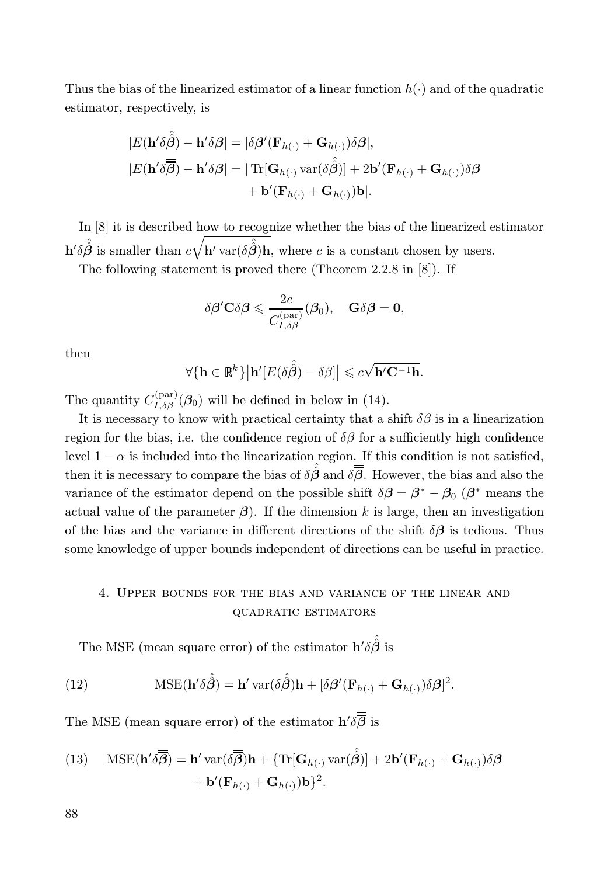Thus the bias of the linearized estimator of a linear function  $h(\cdot)$  and of the quadratic estimator, respectively, is

$$
|E(\mathbf{h}'\delta\hat{\hat{\beta}}) - \mathbf{h}'\delta\beta| = |\delta\beta'(\mathbf{F}_{h(\cdot)} + \mathbf{G}_{h(\cdot)})\delta\beta|,
$$
  
\n
$$
|E(\mathbf{h}'\delta\overline{\hat{\beta}}) - \mathbf{h}'\delta\beta| = |\operatorname{Tr}[\mathbf{G}_{h(\cdot)} \operatorname{var}(\delta\hat{\hat{\beta}})] + 2\mathbf{b}'(\mathbf{F}_{h(\cdot)} + \mathbf{G}_{h(\cdot)})\delta\beta
$$
  
\n
$$
+ \mathbf{b}'(\mathbf{F}_{h(\cdot)} + \mathbf{G}_{h(\cdot)})\mathbf{b}|.
$$

In [8] it is described how to recognize whether the bias of the linearized estimator  $\mathbf{h}'\delta\hat{\hat{\beta}}$  is smaller than  $c\sqrt{\mathbf{h}'\text{var}(\delta\hat{\hat{\beta}})\mathbf{h}}$ , where c is a constant chosen by users.

The following statement is proved there (Theorem 2.2.8 in [8]). If

$$
\delta \boldsymbol{\beta}^{\prime} \mathbf{C} \delta \boldsymbol{\beta} \leqslant \frac{2c}{C_{I, \delta \beta}^{(\text{par})}} (\boldsymbol{\beta}_{0}), \quad \mathbf{G} \delta \boldsymbol{\beta} = \mathbf{0},
$$

then

$$
\forall {\mathbf{h} \in \mathbb{R}^k} | \mathbf{h}'[E(\delta \hat{\hat{\boldsymbol{\beta}}}) - \delta \beta] | \leqslant c\sqrt{\mathbf{h}'\mathbf{C}^{-1}\mathbf{h}}.
$$

The quantity  $C_{I,\delta\beta}^{(\text{par})}$  $I_{I,\delta\beta}^{(\text{par})}(\beta_0)$  will be defined in below in (14).

It is necessary to know with practical certainty that a shift  $\delta\beta$  is in a linearization region for the bias, i.e. the confidence region of  $\delta\beta$  for a sufficiently high confidence level  $1 - \alpha$  is included into the linearization region. If this condition is not satisfied, then it is necessary to compare the bias of  $\delta \hat{\beta}$  and  $\delta \overline{B}$ . However, the bias and also the variance of the estimator depend on the possible shift  $\delta \beta = \beta^* - \beta_0$  ( $\beta^*$  means the actual value of the parameter  $\beta$ ). If the dimension k is large, then an investigation of the bias and the variance in different directions of the shift  $\delta\beta$  is tedious. Thus some knowledge of upper bounds independent of directions can be useful in practice.

# 4. Upper bounds for the bias and variance of the linear and quadratic estimators

The MSE (mean square error) of the estimator  $\mathbf{h}' \delta \hat{\hat{\beta}}$  is

(12) 
$$
\text{MSE}(\mathbf{h}'\delta\hat{\hat{\boldsymbol{\beta}}}) = \mathbf{h}' \, \text{var}(\delta\hat{\hat{\boldsymbol{\beta}}})\mathbf{h} + [\delta\boldsymbol{\beta}'(\mathbf{F}_{h(\cdot)} + \mathbf{G}_{h(\cdot)})\delta\boldsymbol{\beta}]^2.
$$

The MSE (mean square error) of the estimator  $h' \delta \beta$  is

(13) 
$$
\text{MSE}(\mathbf{h}' \delta \overline{\overline{\boldsymbol{\beta}}}) = \mathbf{h}' \, \text{var}(\delta \overline{\overline{\boldsymbol{\beta}}}) \mathbf{h} + \{\text{Tr}[\mathbf{G}_{h(\cdot)} \, \text{var}(\hat{\beta})] + 2\mathbf{b}'(\mathbf{F}_{h(\cdot)} + \mathbf{G}_{h(\cdot)})\delta \beta + \mathbf{b}'(\mathbf{F}_{h(\cdot)} + \mathbf{G}_{h(\cdot)})\mathbf{b}\}^2.
$$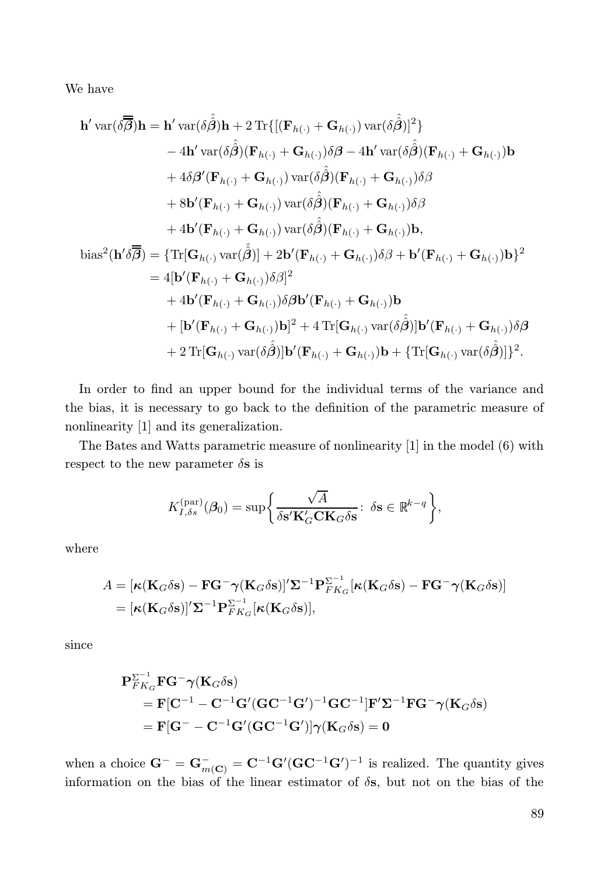We have

$$
\mathbf{h}' \operatorname{var}(\delta \overline{\beta}) \mathbf{h} = \mathbf{h}' \operatorname{var}(\delta \hat{\beta}) \mathbf{h} + 2 \operatorname{Tr} \{ [ (\mathbf{F}_{h(\cdot)} + \mathbf{G}_{h(\cdot)}) \operatorname{var}(\delta \hat{\beta})]^2 \} \n- 4\mathbf{h}' \operatorname{var}(\delta \hat{\beta}) (\mathbf{F}_{h(\cdot)} + \mathbf{G}_{h(\cdot)}) \delta \beta - 4\mathbf{h}' \operatorname{var}(\delta \hat{\beta}) (\mathbf{F}_{h(\cdot)} + \mathbf{G}_{h(\cdot)}) \mathbf{b} \n+ 4\delta \beta' (\mathbf{F}_{h(\cdot)} + \mathbf{G}_{h(\cdot)}) \operatorname{var}(\delta \hat{\beta}) (\mathbf{F}_{h(\cdot)} + \mathbf{G}_{h(\cdot)}) \delta \beta \n+ 8\mathbf{b}' (\mathbf{F}_{h(\cdot)} + \mathbf{G}_{h(\cdot)}) \operatorname{var}(\delta \hat{\beta}) (\mathbf{F}_{h(\cdot)} + \mathbf{G}_{h(\cdot)}) \delta \beta \n+ 8\mathbf{b}' (\mathbf{F}_{h(\cdot)} + \mathbf{G}_{h(\cdot)}) \operatorname{var}(\delta \hat{\beta}) (\mathbf{F}_{h(\cdot)} + \mathbf{G}_{h(\cdot)}) \delta \beta \n+ 4\mathbf{b}' (\mathbf{F}_{h(\cdot)} + \mathbf{G}_{h(\cdot)}) \operatorname{var}(\delta \hat{\beta}) (\mathbf{F}_{h(\cdot)} + \mathbf{G}_{h(\cdot)}) \mathbf{b},
$$
  
\nbias<sup>2</sup>( $\mathbf{h}' \delta \overline{\beta}$ ) = {Tr[ $\mathbf{G}_{h(\cdot)} \operatorname{var}(\hat{\beta})$ ] + 2 $\mathbf{b}' (\mathbf{F}_{h(\cdot)} + \mathbf{G}_{h(\cdot)}) \delta \beta + \mathbf{b}' (\mathbf{F}_{h(\cdot)} + \mathbf{G}_{h(\cdot)}) \mathbf{b}$ }  
\n= 4[ $\mathbf{b}' (\mathbf{F}_{h(\cdot)} + \mathbf{G}_{h(\cdot)}) \delta \beta$ ]  
\n+ 4 $\mathbf{b}' (\mathbf{F}_{h(\cdot)} + \mathbf{G}_{h(\cdot)}) \delta \beta$   
\n+  $[\mathbf{b}' (\mathbf{F}_{h(\cdot)} + \mathbf{G}_{h(\cdot)}) \delta \beta \mathbf{b}' (\mathbf{$ 

In order to find an upper bound for the individual terms of the variance and the bias, it is necessary to go back to the definition of the parametric measure of nonlinearity [1] and its generalization.

The Bates and Watts parametric measure of nonlinearity [1] in the model (6) with respect to the new parameter  $\delta$ s is

$$
K_{I,\delta s}^{\text{(par)}}(\boldsymbol{\beta}_{0}) = \sup \bigg\{\frac{\sqrt{A}}{\delta \mathbf{s'}\mathbf{K}_{G'}'\mathbf{C}\mathbf{K}_{G}\delta \mathbf{s}}\colon\, \delta \mathbf{s} \in \mathbb{R}^{k-q}\bigg\},
$$

where

$$
A = [\kappa(\mathbf{K}_G \delta \mathbf{s}) - \mathbf{F} \mathbf{G}^- \boldsymbol{\gamma} (\mathbf{K}_G \delta \mathbf{s})]' \mathbf{\Sigma}^{-1} \mathbf{P}_{FK_G}^{\mathbf{\Sigma}^{-1}} [\kappa(\mathbf{K}_G \delta \mathbf{s}) - \mathbf{F} \mathbf{G}^- \boldsymbol{\gamma} (\mathbf{K}_G \delta \mathbf{s})]
$$
  
= [\kappa(\mathbf{K}\_G \delta \mathbf{s})]' \mathbf{\Sigma}^{-1} \mathbf{P}\_{FK\_G}^{\mathbf{\Sigma}^{-1}} [\kappa(\mathbf{K}\_G \delta \mathbf{s})],

since

$$
\begin{aligned} \mathbf{P}_{FK_G}^{\Sigma^{-1}} \mathbf{F} \mathbf{G}^- \boldsymbol{\gamma} (\mathbf{K}_G \delta \mathbf{s}) \\ &= \mathbf{F} [\mathbf{C}^{-1} - \mathbf{C}^{-1} \mathbf{G}' (\mathbf{G} \mathbf{C}^{-1} \mathbf{G}')^{-1} \mathbf{G} \mathbf{C}^{-1}] \mathbf{F}' \Sigma^{-1} \mathbf{F} \mathbf{G}^- \boldsymbol{\gamma} (\mathbf{K}_G \delta \mathbf{s}) \\ &= \mathbf{F} [\mathbf{G}^- - \mathbf{C}^{-1} \mathbf{G}' (\mathbf{G} \mathbf{C}^{-1} \mathbf{G}')] \boldsymbol{\gamma} (\mathbf{K}_G \delta \mathbf{s}) = \mathbf{0} \end{aligned}
$$

when a choice  $G^- = G^-_{m(C)} = C^{-1}G'(GC^{-1}G')^{-1}$  is realized. The quantity gives information on the bias of the linear estimator of  $\delta s$ , but not on the bias of the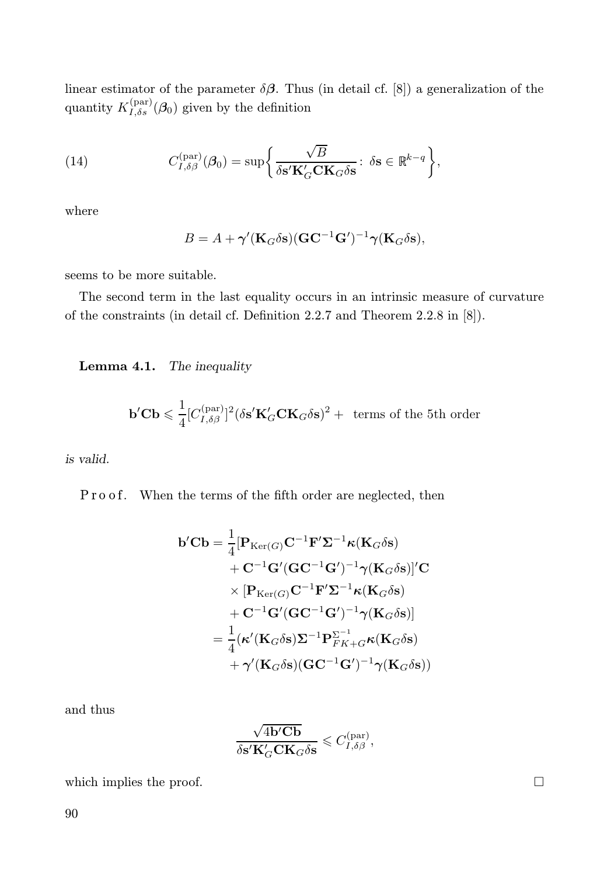linear estimator of the parameter  $\delta\beta$ . Thus (in detail cf. [8]) a generalization of the quantity  $K_{I,\delta s}^{(\text{par})}$  $I_{I,\delta s}^{(\text{par})}(\mathcal{B}_0)$  given by the definition

(14) 
$$
C_{I,\delta\beta}^{(\text{par})}(\boldsymbol{\beta}_0) = \sup \bigg\{ \frac{\sqrt{B}}{\delta s' \mathbf{K}_G' \mathbf{C} \mathbf{K}_G \delta s} : \delta s \in \mathbb{R}^{k-q} \bigg\},
$$

where

$$
B = A + \gamma'(\mathbf{K}_G \delta \mathbf{s}) (\mathbf{G} \mathbf{C}^{-1} \mathbf{G}')^{-1} \gamma(\mathbf{K}_G \delta \mathbf{s}),
$$

seems to be more suitable.

The second term in the last equality occurs in an intrinsic measure of curvature of the constraints (in detail cf. Definition 2.2.7 and Theorem 2.2.8 in [8]).

Lemma 4.1. The inequality

$$
\mathbf{b}'\mathbf{C}\mathbf{b} \leqslant \frac{1}{4} [C_{I,\delta\beta}^{(\text{par})}]^2 (\delta \mathbf{s}' \mathbf{K}_G' \mathbf{C} \mathbf{K}_G \delta \mathbf{s})^2 + \text{ terms of the 5th order}
$$

is valid.

Pro of. When the terms of the fifth order are neglected, then

$$
b'Cb = \frac{1}{4} [P_{\text{Ker}(G)}C^{-1}F'\Sigma^{-1}\kappa(K_G\delta s) + C^{-1}G'(GC^{-1}G')^{-1}\gamma(K_G\delta s)]'C \times [P_{\text{Ker}(G)}C^{-1}F'\Sigma^{-1}\kappa(K_G\delta s) + C^{-1}G'(GC^{-1}G')^{-1}\gamma(K_G\delta s)] = \frac{1}{4}(\kappa'(K_G\delta s)\Sigma^{-1}P_{FK+G}^{-1}\kappa(K_G\delta s) + \gamma'(K_G\delta s)(GC^{-1}G')^{-1}\gamma(K_G\delta s))
$$

and thus

$$
\frac{\sqrt{4\mathbf{b}'\mathbf{C}\mathbf{b}}}{\delta \mathbf{s}'\mathbf{K}_G'\mathbf{C}\mathbf{K}_G\delta \mathbf{s}}\leqslant C_{I,\delta\beta}^{(\text{par})},
$$

which implies the proof.  $\Box$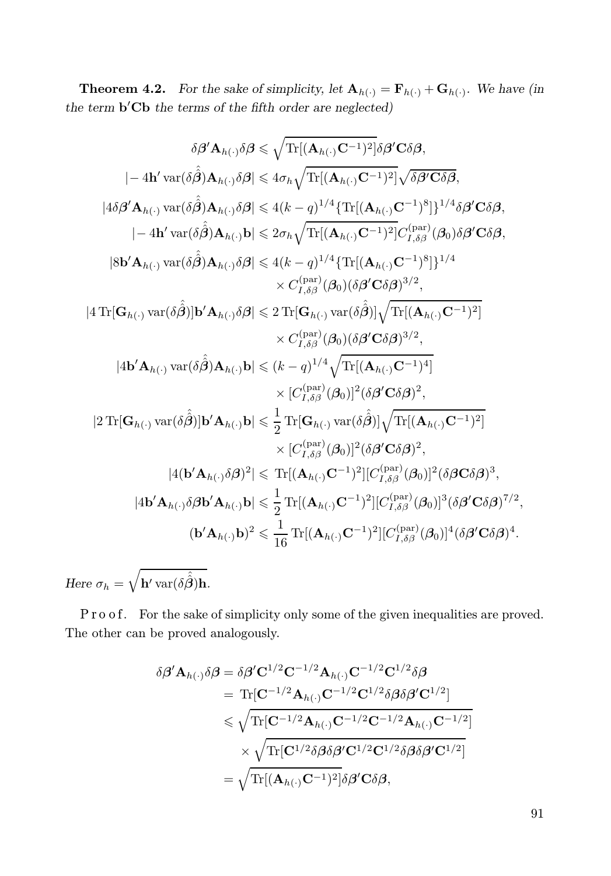**Theorem 4.2.** For the sake of simplicity, let  $\mathbf{A}_{h(\cdot)} = \mathbf{F}_{h(\cdot)} + \mathbf{G}_{h(\cdot)}$ . We have (in the term  $\mathbf{b}'\mathbf{C}\mathbf{b}$  the terms of the fifth order are neglected)

$$
\delta \beta' \mathbf{A}_{h(\cdot)} \delta \beta \leq \sqrt{\text{Tr}[(\mathbf{A}_{h(\cdot)} \mathbf{C}^{-1})^2]} \delta \beta' \mathbf{C} \delta \beta,
$$
\n
$$
|-4\mathbf{h}' \text{var}(\delta \hat{\beta}) \mathbf{A}_{h(\cdot)} \delta \beta| \leq 4\sigma_h \sqrt{\text{Tr}[(\mathbf{A}_{h(\cdot)} \mathbf{C}^{-1})^2]} \sqrt{\delta \beta' \mathbf{C} \delta \beta},
$$
\n
$$
|4\delta \beta' \mathbf{A}_{h(\cdot)} \text{var}(\delta \hat{\beta}) \mathbf{A}_{h(\cdot)} \delta \beta| \leq 4(k-q)^{1/4} \{\text{Tr}[(\mathbf{A}_{h(\cdot)} \mathbf{C}^{-1})^8]\}^{1/4} \delta \beta' \mathbf{C} \delta \beta,
$$
\n
$$
|-4\mathbf{h}' \text{var}(\delta \hat{\beta}) \mathbf{A}_{h(\cdot)} \delta \beta| \leq 2\sigma_h \sqrt{\text{Tr}[(\mathbf{A}_{h(\cdot)} \mathbf{C}^{-1})^2]} C_{I, \delta \beta}^{(\text{par})}(\beta_0) \delta \beta' \mathbf{C} \delta \beta,
$$
\n
$$
|8\mathbf{b}' \mathbf{A}_{h(\cdot)} \text{var}(\delta \hat{\beta}) \mathbf{A}_{h(\cdot)} \delta \beta| \leq 4(k-q)^{1/4} \{\text{Tr}[(\mathbf{A}_{h(\cdot)} \mathbf{C}^{-1})^8]\}^{1/4}
$$
\n
$$
\times C_{I, \delta \beta}^{(\text{par})}(\beta_0) (\delta \beta' \mathbf{C} \delta \beta)^{3/2},
$$
\n
$$
|4 \text{Tr}[\mathbf{G}_{h(\cdot)} \text{var}(\delta \hat{\beta})] \mathbf{b}' \mathbf{A}_{h(\cdot)} \delta \beta| \leq 2 \text{Tr}[\mathbf{G}_{h(\cdot)} \text{var}(\delta \hat{\beta})] \sqrt{\text{Tr}[(\mathbf{A}_{h(\cdot)} \mathbf{C}^{-1})^2]} \times C_{I, \delta \beta}^{(\text{par})}(\beta_0) (\delta \beta' \mathbf{C} \delta \beta)^{3/2},
$$
\n
$$
|4\mathbf{b}' \mathbf{A}_{h(\cdot)} \text{var}
$$

Here  $\sigma_h =$  $\sqrt{ }$  $\mathbf{h}'\,\text{var}(\delta\hat{\hat{\boldsymbol{\beta}}})\mathbf{h}.$ 

Pro of. For the sake of simplicity only some of the given inequalities are proved. The other can be proved analogously.

$$
\delta \beta' \mathbf{A}_{h(\cdot)} \delta \beta = \delta \beta' \mathbf{C}^{1/2} \mathbf{C}^{-1/2} \mathbf{A}_{h(\cdot)} \mathbf{C}^{-1/2} \mathbf{C}^{1/2} \delta \beta
$$
  
\n
$$
= \text{Tr}[\mathbf{C}^{-1/2} \mathbf{A}_{h(\cdot)} \mathbf{C}^{-1/2} \mathbf{C}^{1/2} \delta \beta \delta \beta' \mathbf{C}^{1/2}]
$$
  
\n
$$
\leq \sqrt{\text{Tr}[\mathbf{C}^{-1/2} \mathbf{A}_{h(\cdot)} \mathbf{C}^{-1/2} \mathbf{C}^{-1/2} \mathbf{A}_{h(\cdot)} \mathbf{C}^{-1/2}]}
$$
  
\n
$$
\times \sqrt{\text{Tr}[\mathbf{C}^{1/2} \delta \beta \delta \beta' \mathbf{C}^{1/2} \mathbf{C}^{1/2} \delta \beta \delta \beta' \mathbf{C}^{1/2}]}
$$
  
\n
$$
= \sqrt{\text{Tr}[(\mathbf{A}_{h(\cdot)} \mathbf{C}^{-1})^2]} \delta \beta' \mathbf{C} \delta \beta,
$$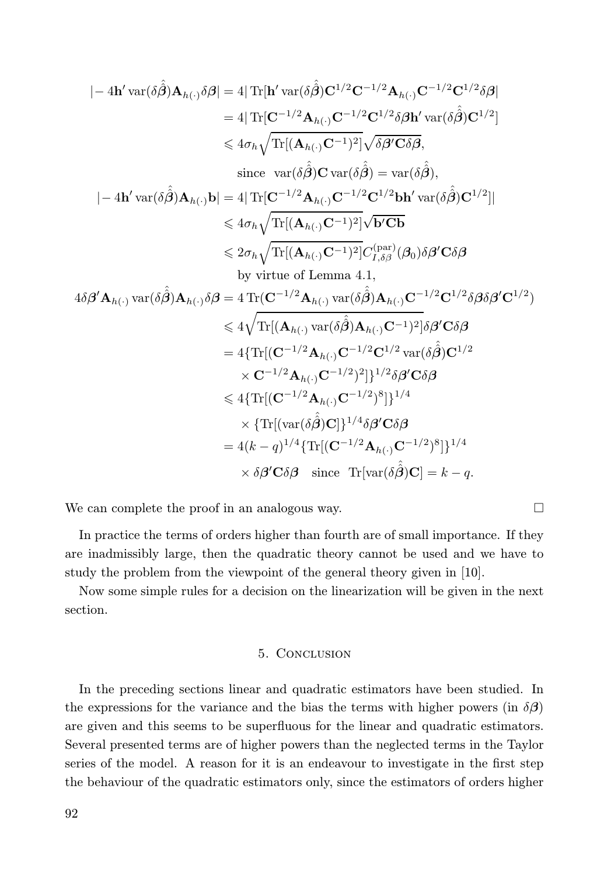$$
|-4\mathbf{h}' \operatorname{var}(\delta \hat{\beta}) \mathbf{A}_{h(\cdot)} \delta \beta| = 4 |\operatorname{Tr}[\mathbf{h}' \operatorname{var}(\delta \hat{\beta}) \mathbf{C}^{1/2} \mathbf{C}^{-1/2} \mathbf{A}_{h(\cdot)} \mathbf{C}^{-1/2} \mathbf{C}^{1/2} \delta \beta|
$$
  
\n
$$
= 4 |\operatorname{Tr}[\mathbf{C}^{-1/2} \mathbf{A}_{h(\cdot)} \mathbf{C}^{-1/2} \mathbf{C}^{1/2} \delta \beta \mathbf{h}' \operatorname{var}(\delta \hat{\beta}) \mathbf{C}^{1/2}]
$$
  
\n
$$
\leq 4 \sigma_h \sqrt{\operatorname{Tr}[(\mathbf{A}_{h(\cdot)} \mathbf{C}^{-1})^2]} \sqrt{\delta \beta' \mathbf{C} \delta \beta},
$$
  
\nsince  $\operatorname{var}(\delta \hat{\beta}) \mathbf{C} \operatorname{var}(\delta \hat{\beta}) = \operatorname{var}(\delta \hat{\beta}),$   
\n
$$
|-4\mathbf{h}' \operatorname{var}(\delta \hat{\beta}) \mathbf{A}_{h(\cdot)} \mathbf{b}| = 4 |\operatorname{Tr}[\mathbf{C}^{-1/2} \mathbf{A}_{h(\cdot)} \mathbf{C}^{-1/2} \mathbf{C}^{1/2} \mathbf{b} \mathbf{h}' \operatorname{var}(\delta \hat{\beta}) \mathbf{C}^{1/2}]|
$$
  
\n
$$
\leq 4 \sigma_h \sqrt{\operatorname{Tr}[(\mathbf{A}_{h(\cdot)} \mathbf{C}^{-1})^2]} \sqrt{\mathbf{b}' \mathbf{C} \mathbf{b}}
$$
  
\n
$$
\leq 2 \sigma_h \sqrt{\operatorname{Tr}[(\mathbf{A}_{h(\cdot)} \mathbf{C}^{-1})^2]} \sqrt{\mathbf{b}' \mathbf{C} \mathbf{b}}
$$
  
\n
$$
\leq 2 \sigma_h \sqrt{\operatorname{Tr}[(\mathbf{A}_{h(\cdot)} \mathbf{C}^{-1})^2]} \mathbf{C}_{I, \delta \beta}^{(\text{par})} (\beta_0) \delta \beta' \mathbf{C} \delta \beta
$$
  
\nby virtue of Lemma 4.1,  
\n
$$
4 \delta \beta' \mathbf{A}_{h(\cdot)} \operatorname{var}(\delta \
$$

We can complete the proof in an analogous way.  $\Box$ 

In practice the terms of orders higher than fourth are of small importance. If they are inadmissibly large, then the quadratic theory cannot be used and we have to study the problem from the viewpoint of the general theory given in [10].

Now some simple rules for a decision on the linearization will be given in the next section.

### 5. Conclusion

In the preceding sections linear and quadratic estimators have been studied. In the expressions for the variance and the bias the terms with higher powers (in  $\delta\beta$ ) are given and this seems to be superfluous for the linear and quadratic estimators. Several presented terms are of higher powers than the neglected terms in the Taylor series of the model. A reason for it is an endeavour to investigate in the first step the behaviour of the quadratic estimators only, since the estimators of orders higher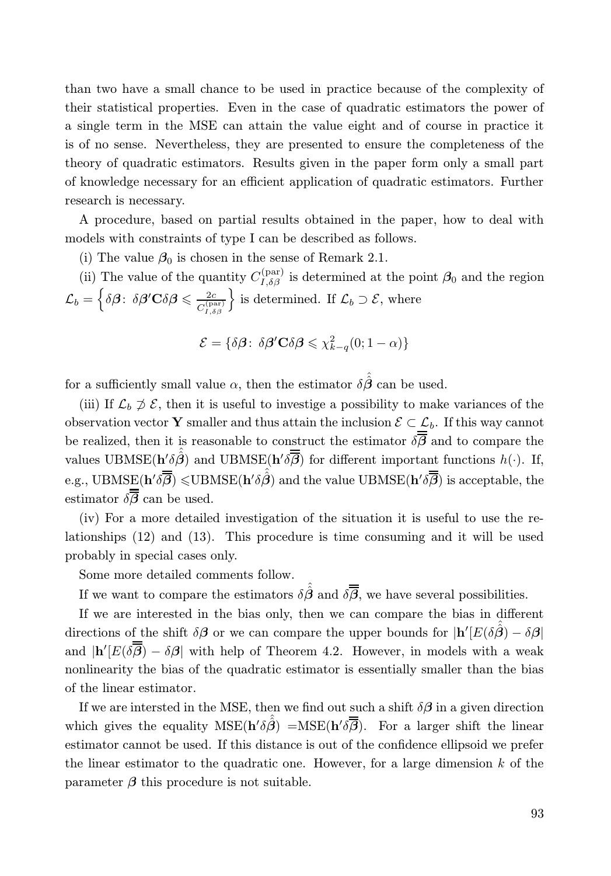than two have a small chance to be used in practice because of the complexity of their statistical properties. Even in the case of quadratic estimators the power of a single term in the MSE can attain the value eight and of course in practice it is of no sense. Nevertheless, they are presented to ensure the completeness of the theory of quadratic estimators. Results given in the paper form only a small part of knowledge necessary for an efficient application of quadratic estimators. Further research is necessary.

A procedure, based on partial results obtained in the paper, how to deal with models with constraints of type I can be described as follows.

(i) The value  $\beta_0$  is chosen in the sense of Remark 2.1.

(ii) The value of the quantity  $C_{I,\delta\beta}^{(\text{par})}$  $I_{I,\delta\beta}^{(\text{par})}$  is determined at the point  $\beta_0$  and the region  $\mathcal{L}_b = \Big\{\delta \boldsymbol{\beta} \colon \, \delta \boldsymbol{\beta}^{\prime} \mathbf{C} \delta \boldsymbol{\beta} \leqslant \frac{2c}{C_{\tau, s}^{(p)}}\Big\}$  $C_{I,\delta\beta}^{\mathrm{(par)}}$  $\Big\}$  is determined. If  $\mathcal{L}_b \supset \mathcal{E}$ , where

$$
\mathcal{E} = \{ \delta \beta : \ \delta \beta' \mathbf{C} \delta \beta \leq \chi^2_{k-q}(0; 1-\alpha) \}
$$

for a sufficiently small value  $\alpha$ , then the estimator  $\delta \hat{\hat{\beta}}$  can be used.

(iii) If  $\mathcal{L}_b \not\supset \mathcal{E}$ , then it is useful to investige a possibility to make variances of the observation vector Y smaller and thus attain the inclusion  $\mathcal{E} \subset \mathcal{L}_b$ . If this way cannot be realized, then it is reasonable to construct the estimator  $\delta\overline{\beta}$  and to compare the values UBMSE( $\mathbf{h}'\delta\hat{\boldsymbol{\beta}}$ ) and UBMSE( $\mathbf{h}'\delta\overline{\boldsymbol{\beta}}$ ) for different important functions  $h(\cdot)$ . If, e.g.,  $\mathrm{UBMSE}(\mathbf{h}' \delta \overline{\overline{\beta}}) \leqslant \mathrm{UBMSE}(\mathbf{h}' \delta \hat{\overline{\beta}})$  and the value  $\mathrm{UBMSE}(\mathbf{h}' \delta \overline{\overline{\beta}})$  is acceptable, the estimator  $\delta \overline{B}$  can be used.

(iv) For a more detailed investigation of the situation it is useful to use the relationships (12) and (13). This procedure is time consuming and it will be used probably in special cases only.

Some more detailed comments follow.

If we want to compare the estimators  $\delta \hat{\hat{\beta}}$  and  $\delta \overline{\overline{\beta}}$ , we have several possibilities.

If we are interested in the bias only, then we can compare the bias in different directions of the shift  $\delta\beta$  or we can compare the upper bounds for  $|\mathbf{h}'[E(\delta\hat{\beta}) - \delta\beta|]$ and  $|\mathbf{h}'[E(\delta \boldsymbol{\beta}) - \delta \boldsymbol{\beta}|]$  with help of Theorem 4.2. However, in models with a weak nonlinearity the bias of the quadratic estimator is essentially smaller than the bias of the linear estimator.

If we are intersted in the MSE, then we find out such a shift  $\delta\beta$  in a given direction which gives the equality  $MSE(h'\delta\hat{\vec{\beta}}) = MSE(h'\delta\overline{\vec{\beta}})$ . For a larger shift the linear estimator cannot be used. If this distance is out of the confidence ellipsoid we prefer the linear estimator to the quadratic one. However, for a large dimension  $k$  of the parameter  $\beta$  this procedure is not suitable.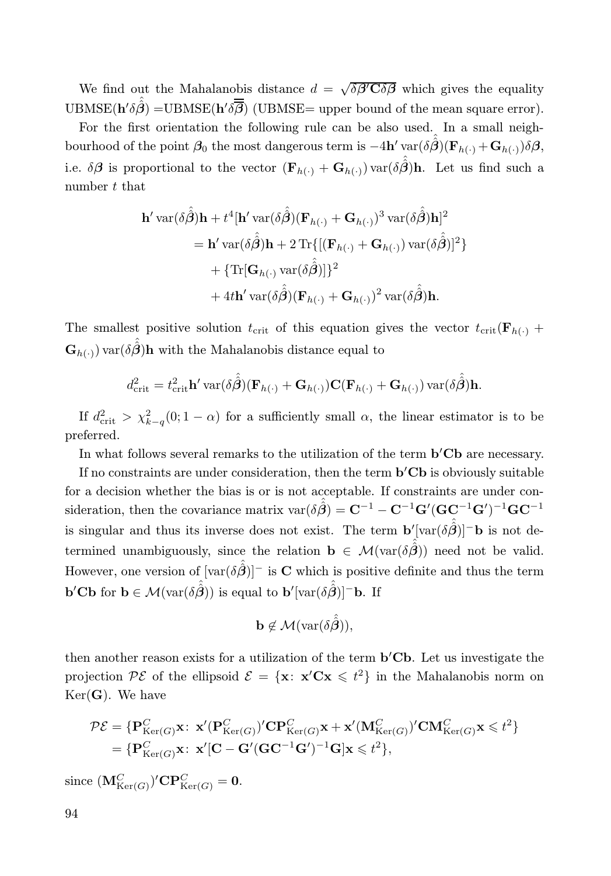We find out the Mahalanobis distance  $d = \sqrt{\delta \beta' C \delta \beta}$  which gives the equality UBMSE( $\mathbf{h}' \delta \hat{\hat{\boldsymbol{\beta}}})$  =UBMSE( $\mathbf{h}' \delta \overline{\hat{\boldsymbol{\beta}}})$  (UBMSE= upper bound of the mean square error).

For the first orientation the following rule can be also used. In a small neighbourhood of the point  $\beta_0$  the most dangerous term is  $-4h' \text{ var}(\delta \hat{\hat{\beta}})(\mathbf{F}_{h(\cdot)} + \mathbf{G}_{h(\cdot)}) \delta \beta$ , i.e.  $\delta\boldsymbol{\beta}$  is proportional to the vector  $(\mathbf{F}_{h(\cdot)} + \mathbf{G}_{h(\cdot)})$  var $(\delta\hat{\boldsymbol{\beta}})$ h. Let us find such a number t that

$$
\mathbf{h}' \operatorname{var}(\delta \hat{\hat{\beta}}) \mathbf{h} + t^4 [\mathbf{h}' \operatorname{var}(\delta \hat{\hat{\beta}}) (\mathbf{F}_{h(\cdot)} + \mathbf{G}_{h(\cdot)})^3 \operatorname{var}(\delta \hat{\hat{\beta}}) \mathbf{h}]^2
$$
  
= 
$$
\mathbf{h}' \operatorname{var}(\delta \hat{\hat{\beta}}) \mathbf{h} + 2 \operatorname{Tr} \{ [ (\mathbf{F}_{h(\cdot)} + \mathbf{G}_{h(\cdot)}) \operatorname{var}(\delta \hat{\hat{\beta}}) ]^2 \} + \{ \operatorname{Tr} [\mathbf{G}_{h(\cdot)} \operatorname{var}(\delta \hat{\hat{\beta}})] \}^2
$$
  
+ 
$$
4t \mathbf{h}' \operatorname{var}(\delta \hat{\hat{\beta}}) (\mathbf{F}_{h(\cdot)} + \mathbf{G}_{h(\cdot)})^2 \operatorname{var}(\delta \hat{\hat{\beta}}) \mathbf{h}.
$$

The smallest positive solution  $t_{\text{crit}}$  of this equation gives the vector  $t_{\text{crit}}(\mathbf{F}_{h(\cdot)} +$  $\mathbf{G}_{h(\cdot)}$  ) var<br>( $\delta\hat{\hat{\boldsymbol{\beta}}})\mathbf{h}$  with the Mahalanobis distance equal to

$$
d_{\rm crit}^2 = t_{\rm crit}^2 \mathbf{h}' \, \text{var}(\delta \hat{\hat{\boldsymbol{\beta}}}) (\mathbf{F}_{h(\cdot)} + \mathbf{G}_{h(\cdot)}) \mathbf{C} (\mathbf{F}_{h(\cdot)} + \mathbf{G}_{h(\cdot)}) \, \text{var}(\delta \hat{\hat{\boldsymbol{\beta}}}) \mathbf{h}.
$$

If  $d_{\text{crit}}^2 > \chi_{k-q}^2(0; 1-\alpha)$  for a sufficiently small  $\alpha$ , the linear estimator is to be preferred.

In what follows several remarks to the utilization of the term  $\mathbf{b}'\mathbf{C}\mathbf{b}$  are necessary.

If no constraints are under consideration, then the term  $\mathbf{b}'\mathbf{C}\mathbf{b}$  is obviously suitable for a decision whether the bias is or is not acceptable. If constraints are under consideration, then the covariance matrix  $var(\delta \hat{\hat{\beta}}) = \mathbf{C}^{-1} - \mathbf{C}^{-1} \mathbf{G}' (\mathbf{G} \mathbf{C}^{-1} \mathbf{G}')^{-1} \mathbf{G} \mathbf{C}^{-1}$ is singular and thus its inverse does not exist. The term  $\mathbf{b}'[\text{var}(\delta\hat{\hat{\beta}})]$ <sup>-</sup>b is not determined unambiguously, since the relation  $\mathbf{b} \in \mathcal{M}(\text{var}(\hat{\delta}))$  need not be valid. However, one version of  $[\text{var}(\delta \hat{\hat{\beta}})]$ <sup>-</sup> is **C** which is positive definite and thus the term **b'Cb** for  $\mathbf{b} \in \mathcal{M}(\text{var}(\delta \hat{\hat{\beta}}))$  is equal to  $\mathbf{b}'[\text{var}(\delta \hat{\hat{\beta}})]$ <sup>-</sup>**b**. If

$$
\mathbf{b} \notin \mathcal{M}(\text{var}(\hat{\delta\hat{\boldsymbol{\beta}}})),
$$

then another reason exists for a utilization of the term **b'Cb**. Let us investigate the projection  $\mathcal{PE}$  of the ellipsoid  $\mathcal{E} = \{ \mathbf{x} : \mathbf{x}'\mathbf{C}\mathbf{x} \leq t^2 \}$  in the Mahalanobis norm on  $Ker(G)$ . We have

$$
\mathcal{P}\mathcal{E} = \{ \mathbf{P}_{\text{Ker}(G)}^C \mathbf{x} : \ \mathbf{x}'(\mathbf{P}_{\text{Ker}(G)}^C)' \mathbf{CP}_{\text{Ker}(G)}^C \mathbf{x} + \mathbf{x}'(\mathbf{M}_{\text{Ker}(G)}^C)' \mathbf{CM}_{\text{Ker}(G)}^C \mathbf{x} \leq t^2 \}
$$
  
= \{\mathbf{P}\_{\text{Ker}(G)}^C \mathbf{x} : \ \mathbf{x}'[\mathbf{C} - \mathbf{G}'(\mathbf{G}\mathbf{C}^{-1}\mathbf{G}')^{-1}\mathbf{G}] \mathbf{x} \leq t^2 \},

 $\text{since } (\mathbf{M}_{\mathrm{Ker}(G)}^{C})^{\prime} \mathbf{CP}_{\mathrm{Ker}(G)}^{C} = \mathbf{0}.$